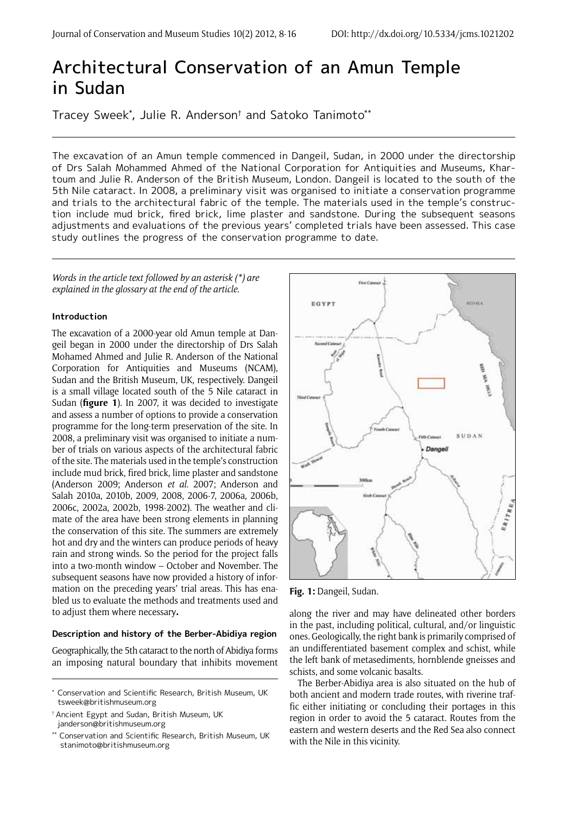# Architectural Conservation of an Amun Temple in Sudan

Tracey Sweek\* , Julie R. Anderson† and Satoko Tanimoto\*\*

The excavation of an Amun temple commenced in Dangeil, Sudan, in 2000 under the directorship of Drs Salah Mohammed Ahmed of the National Corporation for Antiquities and Museums, Khartoum and Julie R. Anderson of the British Museum, London. Dangeil is located to the south of the 5th Nile cataract. In 2008, a preliminary visit was organised to initiate a conservation programme and trials to the architectural fabric of the temple. The materials used in the temple's construction include mud brick, fired brick, lime plaster and sandstone. During the subsequent seasons adjustments and evaluations of the previous years' completed trials have been assessed. This case study outlines the progress of the conservation programme to date.

*Words in the article text followed by an asterisk (\*) are explained in the glossary at the end of the article.*

## **Introduction**

The excavation of a 2000-year old Amun temple at Dangeil began in 2000 under the directorship of Drs Salah Mohamed Ahmed and Julie R. Anderson of the National Corporation for Antiquities and Museums (NCAM), Sudan and the British Museum, UK, respectively. Dangeil is a small village located south of the 5 Nile cataract in Sudan (**figure 1**). In 2007, it was decided to investigate and assess a number of options to provide a conservation programme for the long-term preservation of the site. In 2008, a preliminary visit was organised to initiate a number of trials on various aspects of the architectural fabric of the site. The materials used in the temple's construction include mud brick, fired brick, lime plaster and sandstone (Anderson 2009; Anderson *et al.* 2007; Anderson and Salah 2010a, 2010b, 2009, 2008, 2006-7, 2006a, 2006b, 2006c, 2002a, 2002b, 1998-2002). The weather and climate of the area have been strong elements in planning the conservation of this site. The summers are extremely hot and dry and the winters can produce periods of heavy rain and strong winds. So the period for the project falls into a two-month window – October and November. The subsequent seasons have now provided a history of information on the preceding years' trial areas. This has enabled us to evaluate the methods and treatments used and to adjust them where necessary**.**

#### **Description and history of the Berber-Abidiya region**

Geographically, the 5th cataract to the north of Abidiya forms an imposing natural boundary that inhibits movement



**Fig. 1:** Dangeil, Sudan.

along the river and may have delineated other borders in the past, including political, cultural, and/or linguistic ones. Geologically, the right bank is primarily comprised of an undifferentiated basement complex and schist, while the left bank of metasediments, hornblende gneisses and schists, and some volcanic basalts.

The Berber-Abidiya area is also situated on the hub of both ancient and modern trade routes, with riverine traffic either initiating or concluding their portages in this region in order to avoid the 5 cataract. Routes from the eastern and western deserts and the Red Sea also connect with the Nile in this vicinity.

<sup>\*</sup> Conservation and Scientific Research, British Museum, UK tsweek@britishmuseum.org

<sup>†</sup> Ancient Egypt and Sudan, British Museum, UK janderson@britishmuseum.org

<sup>\*\*</sup> Conservation and Scientific Research, British Museum, UK stanimoto@britishmuseum.org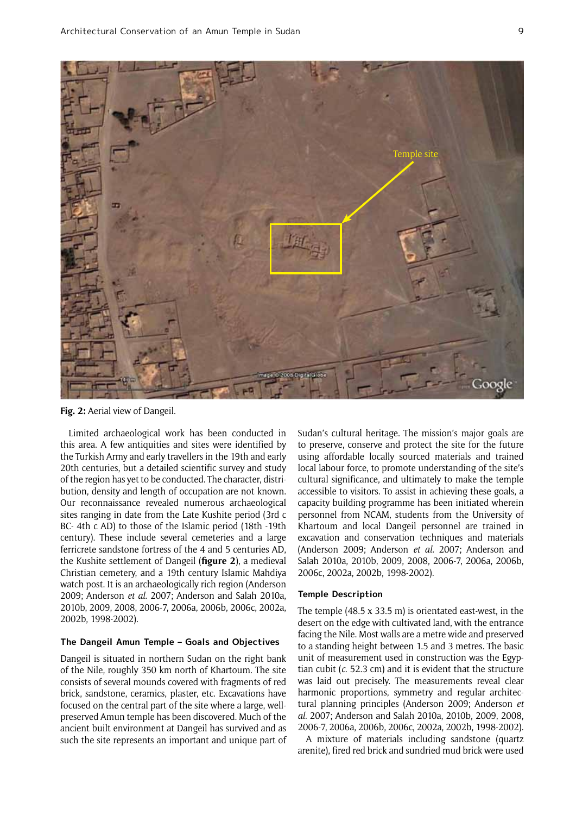

Fig. 2: Aerial view of Dangeil.

Limited archaeological work has been conducted in this area. A few antiquities and sites were identified by the Turkish Army and early travellers in the 19th and early 20th centuries, but a detailed scientific survey and study of the region has yet to be conducted. The character, distribution, density and length of occupation are not known. Our reconnaissance revealed numerous archaeological sites ranging in date from the Late Kushite period (3rd c BC- 4th c AD) to those of the Islamic period (18th -19th century). These include several cemeteries and a large ferricrete sandstone fortress of the 4 and 5 centuries AD, the Kushite settlement of Dangeil (**figure 2**), a medieval Christian cemetery, and a 19th century Islamic Mahdiya watch post. It is an archaeologically rich region (Anderson 2009; Anderson *et al.* 2007; Anderson and Salah 2010a, 2010b, 2009, 2008, 2006-7, 2006a, 2006b, 2006c, 2002a, 2002b, 1998-2002).

# **The Dangeil Amun Temple – Goals and Objectives**

Dangeil is situated in northern Sudan on the right bank of the Nile, roughly 350 km north of Khartoum. The site consists of several mounds covered with fragments of red brick, sandstone, ceramics, plaster, etc. Excavations have focused on the central part of the site where a large, wellpreserved Amun temple has been discovered. Much of the ancient built environment at Dangeil has survived and as such the site represents an important and unique part of Sudan's cultural heritage. The mission's major goals are to preserve, conserve and protect the site for the future using affordable locally sourced materials and trained local labour force, to promote understanding of the site's cultural significance, and ultimately to make the temple accessible to visitors. To assist in achieving these goals, a capacity building programme has been initiated wherein personnel from NCAM, students from the University of Khartoum and local Dangeil personnel are trained in excavation and conservation techniques and materials (Anderson 2009; Anderson *et al.* 2007; Anderson and Salah 2010a, 2010b, 2009, 2008, 2006-7, 2006a, 2006b, 2006c, 2002a, 2002b, 1998-2002).

#### **Temple Description**

The temple (48.5 x 33.5 m) is orientated east-west, in the desert on the edge with cultivated land, with the entrance facing the Nile. Most walls are a metre wide and preserved to a standing height between 1.5 and 3 metres. The basic unit of measurement used in construction was the Egyptian cubit (*c*. 52.3 cm) and it is evident that the structure was laid out precisely. The measurements reveal clear harmonic proportions, symmetry and regular architectural planning principles (Anderson 2009; Anderson *et al.* 2007; Anderson and Salah 2010a, 2010b, 2009, 2008, 2006-7, 2006a, 2006b, 2006c, 2002a, 2002b, 1998-2002).

A mixture of materials including sandstone (quartz arenite), fired red brick and sundried mud brick were used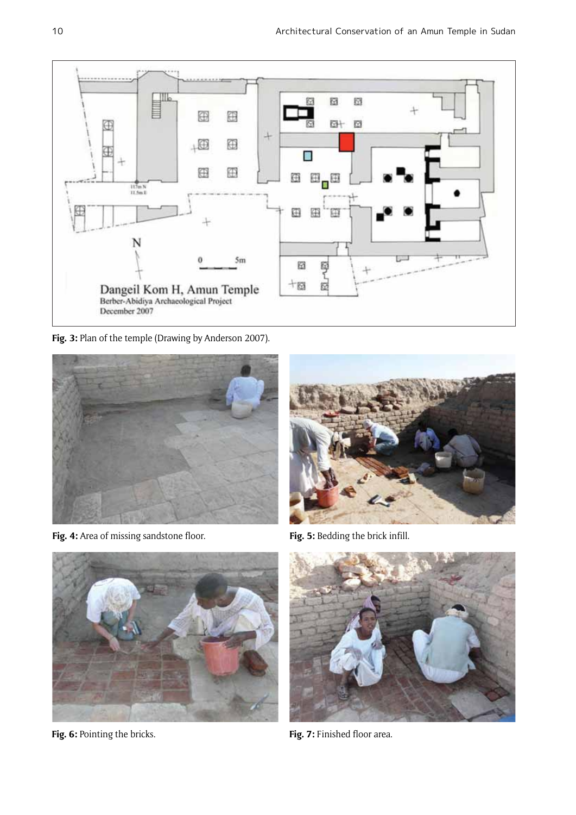

Fig. 3: Plan of the temple (Drawing by Anderson 2007).



Fig. 4: Area of missing sandstone floor. **Fig. 5: Bedding the brick infill.** 





Fig. 6: Pointing the bricks. **Fig. 7: Finished floor area.** 

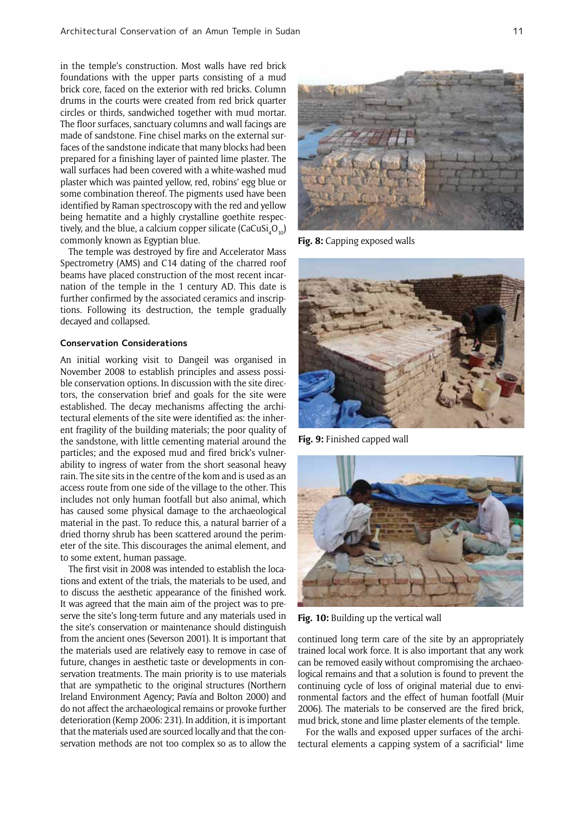in the temple's construction. Most walls have red brick foundations with the upper parts consisting of a mud brick core, faced on the exterior with red bricks. Column drums in the courts were created from red brick quarter circles or thirds, sandwiched together with mud mortar. The floor surfaces, sanctuary columns and wall facings are made of sandstone. Fine chisel marks on the external surfaces of the sandstone indicate that many blocks had been prepared for a finishing layer of painted lime plaster. The wall surfaces had been covered with a white-washed mud plaster which was painted yellow, red, robins' egg blue or some combination thereof. The pigments used have been identified by Raman spectroscopy with the red and yellow being hematite and a highly crystalline goethite respectively, and the blue, a calcium copper silicate (CaCuSi $_{\rm 4}$ O $_{\rm 10}$ ) commonly known as Egyptian blue.

The temple was destroyed by fire and Accelerator Mass Spectrometry (AMS) and C14 dating of the charred roof beams have placed construction of the most recent incarnation of the temple in the 1 century AD. This date is further confirmed by the associated ceramics and inscriptions. Following its destruction, the temple gradually decayed and collapsed.

#### **Conservation Considerations**

An initial working visit to Dangeil was organised in November 2008 to establish principles and assess possible conservation options. In discussion with the site directors, the conservation brief and goals for the site were established. The decay mechanisms affecting the architectural elements of the site were identified as: the inherent fragility of the building materials; the poor quality of the sandstone, with little cementing material around the particles; and the exposed mud and fired brick's vulnerability to ingress of water from the short seasonal heavy rain. The site sits in the centre of the kom and is used as an access route from one side of the village to the other. This includes not only human footfall but also animal, which has caused some physical damage to the archaeological material in the past. To reduce this, a natural barrier of a dried thorny shrub has been scattered around the perimeter of the site. This discourages the animal element, and to some extent, human passage.

The first visit in 2008 was intended to establish the locations and extent of the trials, the materials to be used, and to discuss the aesthetic appearance of the finished work. It was agreed that the main aim of the project was to preserve the site's long-term future and any materials used in the site's conservation or maintenance should distinguish from the ancient ones (Severson 2001). It is important that the materials used are relatively easy to remove in case of future, changes in aesthetic taste or developments in conservation treatments. The main priority is to use materials that are sympathetic to the original structures (Northern Ireland Environment Agency; Pavía and Bolton 2000) and do not affect the archaeological remains or provoke further deterioration (Kemp 2006: 231). In addition, it is important that the materials used are sourced locally and that the conservation methods are not too complex so as to allow the



**Fig. 8:** Capping exposed walls



**Fig. 9:** Finished capped wall



**Fig. 10:** Building up the vertical wall

continued long term care of the site by an appropriately trained local work force. It is also important that any work can be removed easily without compromising the archaeological remains and that a solution is found to prevent the continuing cycle of loss of original material due to environmental factors and the effect of human footfall (Muir 2006). The materials to be conserved are the fired brick, mud brick, stone and lime plaster elements of the temple.

For the walls and exposed upper surfaces of the architectural elements a capping system of a sacrificial\* lime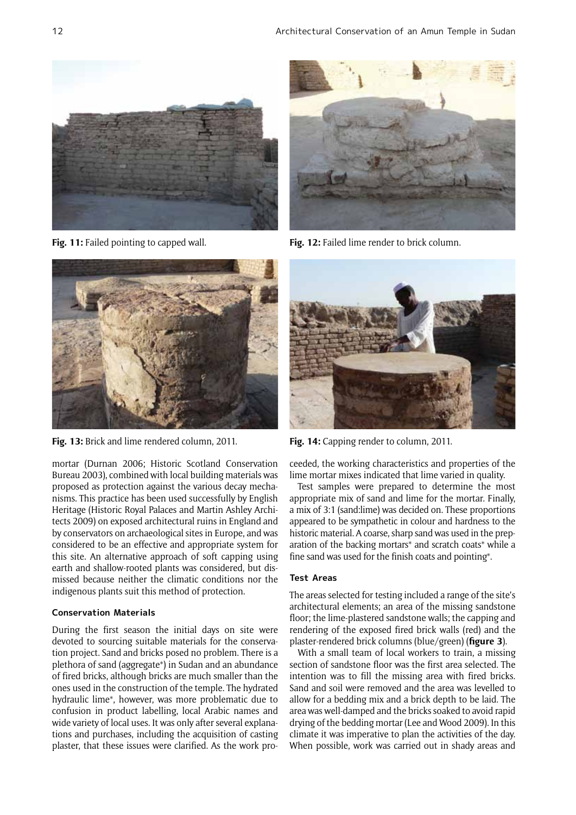



**Fig. 13:** Brick and lime rendered column, 2011. **Fig. 14:** Capping render to column, 2011.

mortar (Durnan 2006; Historic Scotland Conservation Bureau 2003), combined with local building materials was proposed as protection against the various decay mechanisms. This practice has been used successfully by English Heritage (Historic Royal Palaces and Martin Ashley Architects 2009) on exposed architectural ruins in England and by conservators on archaeological sites in Europe, and was considered to be an effective and appropriate system for this site. An alternative approach of soft capping using earth and shallow-rooted plants was considered, but dismissed because neither the climatic conditions nor the indigenous plants suit this method of protection.

## **Conservation Materials**

During the first season the initial days on site were devoted to sourcing suitable materials for the conservation project. Sand and bricks posed no problem. There is a plethora of sand (aggregate\*) in Sudan and an abundance of fired bricks, although bricks are much smaller than the ones used in the construction of the temple. The hydrated hydraulic lime\*, however, was more problematic due to confusion in product labelling, local Arabic names and wide variety of local uses. It was only after several explanations and purchases, including the acquisition of casting plaster, that these issues were clarified. As the work pro-



**Fig. 11:** Failed pointing to capped wall. **Fig. 12:** Failed lime render to brick column.



ceeded, the working characteristics and properties of the lime mortar mixes indicated that lime varied in quality.

Test samples were prepared to determine the most appropriate mix of sand and lime for the mortar. Finally, a mix of 3:1 (sand:lime) was decided on. These proportions appeared to be sympathetic in colour and hardness to the historic material. A coarse, sharp sand was used in the preparation of the backing mortars\* and scratch coats\* while a fine sand was used for the finish coats and pointing\*.

## **Test Areas**

The areas selected for testing included a range of the site's architectural elements; an area of the missing sandstone floor; the lime-plastered sandstone walls; the capping and rendering of the exposed fired brick walls (red) and the plaster-rendered brick columns (blue/green) (**figure 3**).

With a small team of local workers to train, a missing section of sandstone floor was the first area selected. The intention was to fill the missing area with fired bricks. Sand and soil were removed and the area was levelled to allow for a bedding mix and a brick depth to be laid. The area was well-damped and the bricks soaked to avoid rapid drying of the bedding mortar (Lee and Wood 2009). In this climate it was imperative to plan the activities of the day. When possible, work was carried out in shady areas and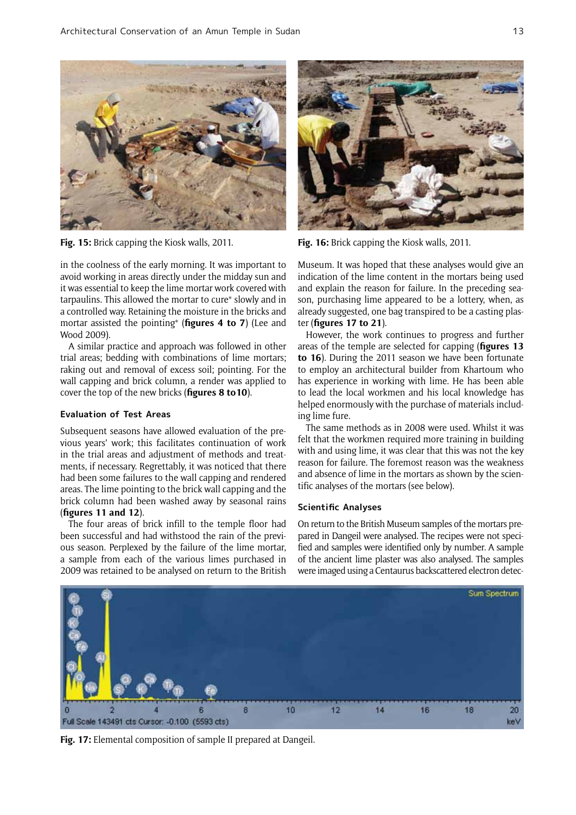

in the coolness of the early morning. It was important to avoid working in areas directly under the midday sun and it was essential to keep the lime mortar work covered with tarpaulins. This allowed the mortar to cure\* slowly and in a controlled way. Retaining the moisture in the bricks and mortar assisted the pointing\* (**figures 4 to 7**) (Lee and Wood 2009).

A similar practice and approach was followed in other trial areas; bedding with combinations of lime mortars; raking out and removal of excess soil; pointing. For the wall capping and brick column, a render was applied to cover the top of the new bricks (**figures 8 to10**).

## **Evaluation of Test Areas**

Subsequent seasons have allowed evaluation of the previous years' work; this facilitates continuation of work in the trial areas and adjustment of methods and treatments, if necessary. Regrettably, it was noticed that there had been some failures to the wall capping and rendered areas. The lime pointing to the brick wall capping and the brick column had been washed away by seasonal rains (**figures 11 and 12**).

The four areas of brick infill to the temple floor had been successful and had withstood the rain of the previous season. Perplexed by the failure of the lime mortar, a sample from each of the various limes purchased in 2009 was retained to be analysed on return to the British



**Fig. 15:** Brick capping the Kiosk walls, 2011. **Fig. 16:** Brick capping the Kiosk walls, 2011.

Museum. It was hoped that these analyses would give an indication of the lime content in the mortars being used and explain the reason for failure. In the preceding season, purchasing lime appeared to be a lottery, when, as already suggested, one bag transpired to be a casting plaster (**figures 17 to 21**).

However, the work continues to progress and further areas of the temple are selected for capping (**figures 13 to 16**). During the 2011 season we have been fortunate to employ an architectural builder from Khartoum who has experience in working with lime. He has been able to lead the local workmen and his local knowledge has helped enormously with the purchase of materials including lime fure.

The same methods as in 2008 were used. Whilst it was felt that the workmen required more training in building with and using lime, it was clear that this was not the key reason for failure. The foremost reason was the weakness and absence of lime in the mortars as shown by the scientific analyses of the mortars (see below).

# **Scientific Analyses**

On return to the British Museum samples of the mortars prepared in Dangeil were analysed. The recipes were not specified and samples were identified only by number. A sample of the ancient lime plaster was also analysed. The samples were imaged using a Centaurus backscattered electron detec-



**Fig. 17:** Elemental composition of sample II prepared at Dangeil.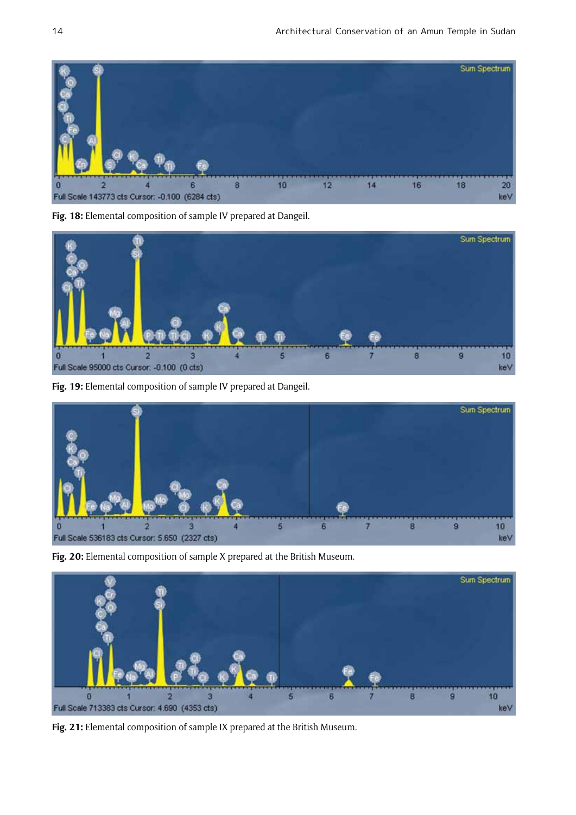

**Fig. 18:** Elemental composition of sample IV prepared at Dangeil.



**Fig. 19:** Elemental composition of sample IV prepared at Dangeil.



**Fig. 20:** Elemental composition of sample X prepared at the British Museum.



**Fig. 21:** Elemental composition of sample IX prepared at the British Museum.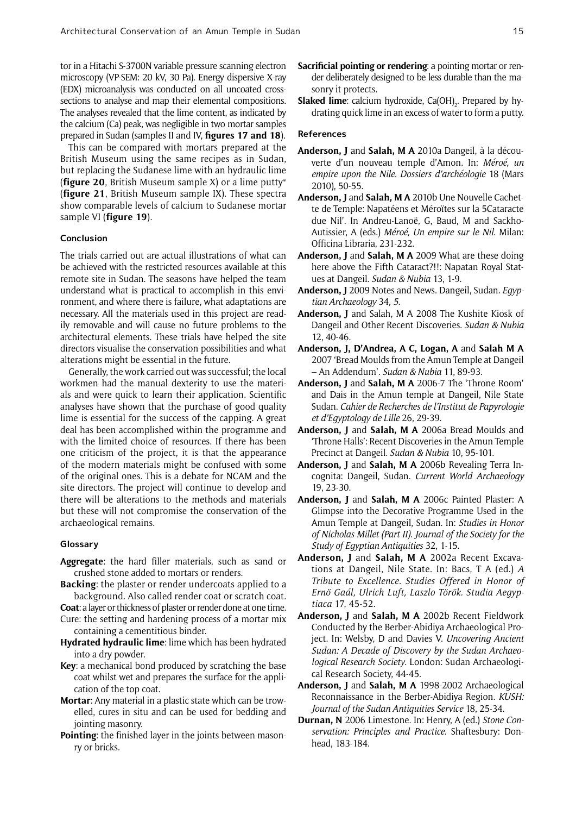tor in a Hitachi S-3700N variable pressure scanning electron microscopy (VP-SEM: 20 kV, 30 Pa). Energy dispersive X-ray (EDX) microanalysis was conducted on all uncoated crosssections to analyse and map their elemental compositions. The analyses revealed that the lime content, as indicated by the calcium (Ca) peak, was negligible in two mortar samples prepared in Sudan (samples II and IV, **figures 17 and 18**).

This can be compared with mortars prepared at the British Museum using the same recipes as in Sudan, but replacing the Sudanese lime with an hydraulic lime (**figure 20**, British Museum sample X) or a lime putty\* (**figure 21**, British Museum sample IX). These spectra show comparable levels of calcium to Sudanese mortar sample VI (**figure 19**).

#### **Conclusion**

The trials carried out are actual illustrations of what can be achieved with the restricted resources available at this remote site in Sudan. The seasons have helped the team understand what is practical to accomplish in this environment, and where there is failure, what adaptations are necessary. All the materials used in this project are readily removable and will cause no future problems to the architectural elements. These trials have helped the site directors visualise the conservation possibilities and what alterations might be essential in the future.

Generally, the work carried out was successful; the local workmen had the manual dexterity to use the materials and were quick to learn their application. Scientific analyses have shown that the purchase of good quality lime is essential for the success of the capping. A great deal has been accomplished within the programme and with the limited choice of resources. If there has been one criticism of the project, it is that the appearance of the modern materials might be confused with some of the original ones. This is a debate for NCAM and the site directors. The project will continue to develop and there will be alterations to the methods and materials but these will not compromise the conservation of the archaeological remains.

#### **Glossary**

- **Aggregate**: the hard filler materials, such as sand or crushed stone added to mortars or renders.
- **Backing**: the plaster or render undercoats applied to a background. Also called render coat or scratch coat.

**Coat**: a layer or thickness of plaster or render done at one time. Cure: the setting and hardening process of a mortar mix

- containing a cementitious binder.
- **Hydrated hydraulic lime**: lime which has been hydrated into a dry powder.
- **Key**: a mechanical bond produced by scratching the base coat whilst wet and prepares the surface for the application of the top coat.
- **Mortar**: Any material in a plastic state which can be trowelled, cures in situ and can be used for bedding and jointing masonry.
- **Pointing**: the finished layer in the joints between masonry or bricks.
- **Sacrificial pointing or rendering**: a pointing mortar or render deliberately designed to be less durable than the masonry it protects.
- **Slaked lime**: calcium hydroxide, Ca(OH)<sub>2</sub>. Prepared by hydrating quick lime in an excess of water to form a putty.

#### **References**

- **Anderson, J** and **Salah, M A** 2010a Dangeil, à la découverte d'un nouveau temple d'Amon. In: *Méroé, un empire upon the Nile. Dossiers d'archéologie* 18 (Mars 2010), 50-55.
- **Anderson, J** and **Salah, M A** 2010b Une Nouvelle Cachette de Temple: Napatéens et Méroïtes sur la 5Cataracte due Nil'. In Andreu-Lanoë, G, Baud, M and Sackho-Autissier, A (eds.) *Méroé, Un empire sur le Nil*. Milan: Officina Libraria, 231-232.
- **Anderson, J** and **Salah, M A** 2009 What are these doing here above the Fifth Cataract?!!: Napatan Royal Statues at Dangeil. *Sudan & Nubia* 13, 1-9.
- **Anderson, J** 2009 Notes and News. Dangeil, Sudan*. Egyptian Archaeology* 34*, 5*.
- **Anderson, J** and Salah, M A 2008 The Kushite Kiosk of Dangeil and Other Recent Discoveries. *Sudan & Nubia*  12, 40-46.
- **Anderson, J, D'Andrea, A C, Logan, A** and **Salah M A** 2007 'Bread Moulds from the Amun Temple at Dangeil – An Addendum'. *Sudan & Nubia* 11, 89-93.
- **Anderson, J** and **Salah, M A** 2006-7 The 'Throne Room' and Dais in the Amun temple at Dangeil, Nile State Sudan. *Cahier de Recherches de l'Institut de Papyrologie et d'Egyptology de Lille* 26, 29-39.
- **Anderson, J** and **Salah, M A** 2006a Bread Moulds and 'Throne Halls': Recent Discoveries in the Amun Temple Precinct at Dangeil. *Sudan & Nubia* 10, 95-101.
- **Anderson, J** and **Salah, M A** 2006b Revealing Terra Incognita: Dangeil, Sudan. *Current World Archaeology*  19, 23-30.
- **Anderson, J** and **Salah, M A** 2006c Painted Plaster: A Glimpse into the Decorative Programme Used in the Amun Temple at Dangeil, Sudan. In: *Studies in Honor of Nicholas Millet (Part II). Journal of the Society for the Study of Egyptian Antiquities* 32, 1-15.
- **Anderson, J** and **Salah, M A** 2002a Recent Excavations at Dangeil, Nile State. In: Bacs, T A (ed.) *A Tribute to Excellence. Studies Offered in Honor of Ernö Gaál, Ulrich Luft, Laszlo Török. Studia Aegyptiaca* 17, 45-52.
- **Anderson, J** and **Salah, M A** 2002b Recent Fieldwork Conducted by the Berber-Abidiya Archaeological Project. In: Welsby, D and Davies V. *Uncovering Ancient Sudan: A Decade of Discovery by the Sudan Archaeological Research Society*. London: Sudan Archaeological Research Society, 44-45.
- **Anderson, J** and **Salah, M A** 1998-2002 Archaeological Reconnaissance in the Berber-Abidiya Region. *KUSH: Journal of the Sudan Antiquities Service* 18, 25-34.
- **Durnan, N** 2006 Limestone. In: Henry, A (ed.) *Stone Conservation: Principles and Practice.* Shaftesbury: Donhead, 183-184.